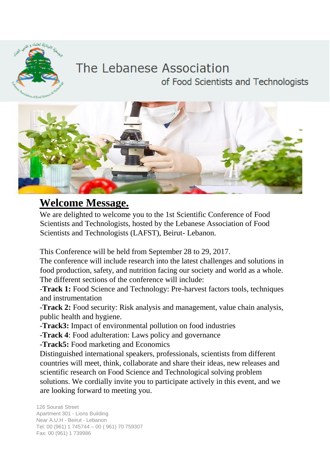

#### The Lebanese Association of Food Scientists and Technologists



#### **Welcome Message.**

We are delighted to welcome you to the 1st Scientific Conference of Food Scientists and Technologists, hosted by the Lebanese Association of Food Scientists and Technologists (LAFST), Beirut- Lebanon.

This Conference will be held from September 28 to 29, 2017.

The conference will include research into the latest challenges and solutions in food production, safety, and nutrition facing our society and world as a whole. The different sections of the conference will include:

-**Track 1:** Food Science and Technology: Pre-harvest factors tools, techniques and instrumentation

-**Track 2:** Food security: Risk analysis and management, value chain analysis, public health and hygiene.

-**Track3:** Impact of environmental pollution on food industries

-**Track 4**: Food adulteration: Laws policy and governance

-**Track5:** Food marketing and Economics

Distinguished international speakers, professionals, scientists from different countries will meet, think, collaborate and share their ideas, new releases and scientific research on Food Science and Technological solving problem solutions. We cordially invite you to participate actively in this event, and we are looking forward to meeting you.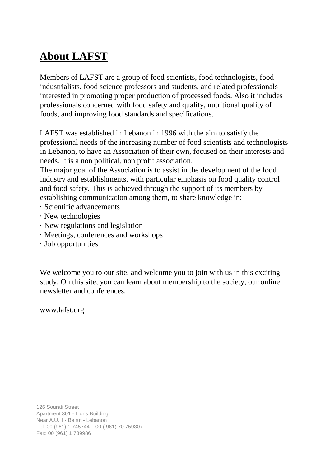# **About LAFST**

Members of LAFST are a group of food scientists, food technologists, food industrialists, food science professors and students, and related professionals interested in promoting proper production of processed foods. Also it includes professionals concerned with food safety and quality, nutritional quality of foods, and improving food standards and specifications.

LAFST was established in Lebanon in 1996 with the aim to satisfy the professional needs of the increasing number of food scientists and technologists in Lebanon, to have an Association of their own, focused on their interests and needs. It is a non political, non profit association.

The major goal of the Association is to assist in the development of the food industry and establishments, with particular emphasis on food quality control and food safety. This is achieved through the support of its members by establishing communication among them, to share knowledge in:

- · Scientific advancements
- · New technologies
- · New regulations and legislation
- · Meetings, conferences and workshops
- · Job opportunities

We welcome you to our site, and welcome you to join with us in this exciting study. On this site, you can learn about membership to the society, our online newsletter and conferences.

[www.lafst.org](http://www.lafst.org/)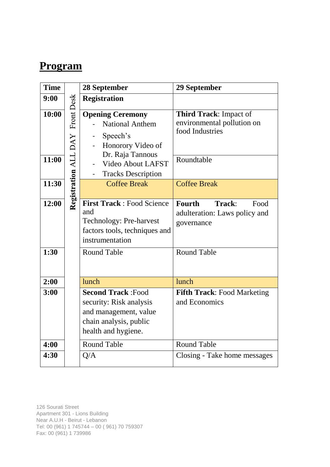#### **Program**

| <b>Time</b>    |                                 | <b>28 September</b>                                                                                                                | 29 September                                                                          |
|----------------|---------------------------------|------------------------------------------------------------------------------------------------------------------------------------|---------------------------------------------------------------------------------------|
| 9:00           |                                 | <b>Registration</b>                                                                                                                |                                                                                       |
| 10:00<br>11:00 | Registration ALL DAY Front Desk | <b>Opening Ceremony</b><br><b>National Anthem</b><br>Speech's<br>Honorory Video of<br>Dr. Raja Tannous<br><b>Video About LAFST</b> | Third Track: Impact of<br>environmental pollution on<br>food Industries<br>Roundtable |
|                |                                 | <b>Tracks Description</b><br>$\overline{\phantom{0}}$                                                                              |                                                                                       |
| 11:30          |                                 | <b>Coffee Break</b>                                                                                                                | <b>Coffee Break</b>                                                                   |
| 12:00          |                                 | <b>First Track: Food Science</b><br>and<br>Technology: Pre-harvest<br>factors tools, techniques and<br>instrumentation             | <b>Fourth</b><br>Track:<br>Food<br>adulteration: Laws policy and<br>governance        |
| 1:30           |                                 | <b>Round Table</b>                                                                                                                 | <b>Round Table</b>                                                                    |
| 2:00           |                                 | lunch                                                                                                                              | lunch                                                                                 |
| 3:00           |                                 | <b>Second Track: Food</b><br>security: Risk analysis<br>and management, value<br>chain analysis, public<br>health and hygiene.     | <b>Fifth Track: Food Marketing</b><br>and Economics                                   |
| 4:00           |                                 | <b>Round Table</b>                                                                                                                 | <b>Round Table</b>                                                                    |
| 4:30           |                                 | Q/A                                                                                                                                | Closing - Take home messages                                                          |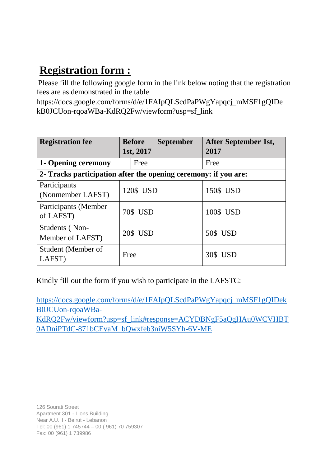## **Registration form :**

Please fill the following google form in the link below noting that the registration fees are as demonstrated in the table

[https://docs.google.com/forms/d/e/1FAIpQLScdPaPWgYapqcj\\_mMSF1gQIDe](https://docs.google.com/forms/d/e/1FAIpQLScdPaPWgYapqcj_mMSF1gQIDekB0JCUon-rqoaWBa-KdRQ2Fw/viewform?usp=sf_link)  [kB0JCUon-rqoaWBa-KdRQ2Fw/viewform?usp=sf\\_link](https://docs.google.com/forms/d/e/1FAIpQLScdPaPWgYapqcj_mMSF1gQIDekB0JCUon-rqoaWBa-KdRQ2Fw/viewform?usp=sf_link)

| <b>Registration fee</b>                                         | <b>Before</b><br><b>September</b><br>1st, 2017 | After September 1st,<br>2017 |  |  |  |
|-----------------------------------------------------------------|------------------------------------------------|------------------------------|--|--|--|
| 1- Opening ceremony                                             | Free                                           | Free                         |  |  |  |
| 2- Tracks participation after the opening ceremony: if you are: |                                                |                              |  |  |  |
| Participants<br>(Nonmember LAFST)                               | 120\$ USD                                      | 150\$ USD                    |  |  |  |
| Participants (Member<br>of LAFST)                               | 70\$ USD                                       | 100\$ USD                    |  |  |  |
| Students (Non-<br>Member of LAFST)                              | 20\$ USD                                       | 50\$ USD                     |  |  |  |
| Student (Member of<br>LAFST)                                    | Free                                           | 30\$ USD                     |  |  |  |

Kindly fill out the form if you wish to participate in the LAFSTC:

[https://docs.google.com/forms/d/e/1FAIpQLScdPaPWgYapqcj\\_mMSF1gQIDek](https://docs.google.com/forms/d/e/1FAIpQLScdPaPWgYapqcj_mMSF1gQIDekB0JCUon-rqoaWBa-KdRQ2Fw/viewform?usp=sf_link#response=ACYDBNgF5aQgHAu0WCVHBT0ADniPTdC-871bCEvaM_bQwxfeb3niW5SYh-6V-ME) [B0JCUon-rqoaWBa-](https://docs.google.com/forms/d/e/1FAIpQLScdPaPWgYapqcj_mMSF1gQIDekB0JCUon-rqoaWBa-KdRQ2Fw/viewform?usp=sf_link#response=ACYDBNgF5aQgHAu0WCVHBT0ADniPTdC-871bCEvaM_bQwxfeb3niW5SYh-6V-ME)

[KdRQ2Fw/viewform?usp=sf\\_link#response=ACYDBNgF5aQgHAu0WCVHBT](https://docs.google.com/forms/d/e/1FAIpQLScdPaPWgYapqcj_mMSF1gQIDekB0JCUon-rqoaWBa-KdRQ2Fw/viewform?usp=sf_link#response=ACYDBNgF5aQgHAu0WCVHBT0ADniPTdC-871bCEvaM_bQwxfeb3niW5SYh-6V-ME) [0ADniPTdC-871bCEvaM\\_bQwxfeb3niW5SYh-6V-ME](https://docs.google.com/forms/d/e/1FAIpQLScdPaPWgYapqcj_mMSF1gQIDekB0JCUon-rqoaWBa-KdRQ2Fw/viewform?usp=sf_link#response=ACYDBNgF5aQgHAu0WCVHBT0ADniPTdC-871bCEvaM_bQwxfeb3niW5SYh-6V-ME)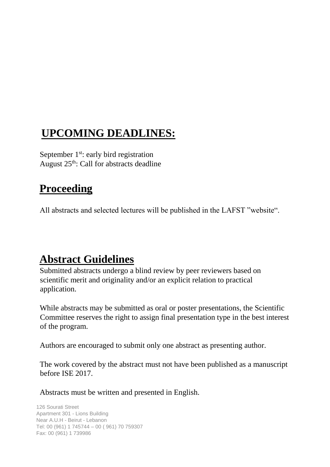## **UPCOMING DEADLINES:**

September  $1<sup>st</sup>$ : early bird registration August 25<sup>th</sup>: Call for abstracts deadline

#### **Proceeding**

All abstracts and selected lectures will be published in the LAFST "website".

## **Abstract Guidelines**

Submitted abstracts undergo a blind review by peer reviewers based on scientific merit and originality and/or an explicit relation to practical application.

While abstracts may be submitted as oral or poster presentations, the Scientific Committee reserves the right to assign final presentation type in the best interest of the program.

Authors are encouraged to submit only one abstract as presenting author.

The work covered by the abstract must not have been published as a manuscript before ISE 2017.

Abstracts must be written and presented in English.

```
126 Sourati Street 
Apartment 301 - Lions Building 
Near A.U.H - Beirut - Lebanon 
Tel: 00 (961) 1 745744 – 00 ( 961) 70 759307 
Fax: 00 (961) 1 739986
```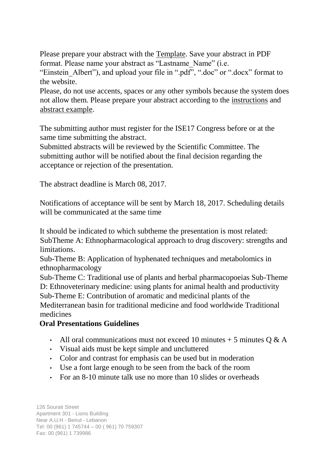Please prepare your abstract with the [Template.](http://webapp.usek.edu.lb/forms/WS/ise/ISE17_Abstract_template.doc) [S](http://webapp.usek.edu.lb/forms/WS/ise/ISE17_Abstract_template.doc)ave your abstract in PDF format. Please name your abstract as "Lastname\_Name" (i.e.

"Einstein Albert"), and upload your file in ".pdf", ".doc" or ".docx" format to the website.

Please, do not use accents, spaces or any other symbols because the system does not allow them. Please prepare your abstract according to th[e](http://webapp.usek.edu.lb/forms/WS/ise/ISE17_Instructions_Abstract.pdf) [instructions](http://webapp.usek.edu.lb/forms/WS/ise/ISE17_Instructions_Abstract.pdf) [an](http://webapp.usek.edu.lb/forms/WS/ise/ISE17_Instructions_Abstract.pdf)[d](http://webapp.usek.edu.lb/forms/WS/ise/ISE17_Abstract_Sample.pdf) [abstract example.](http://webapp.usek.edu.lb/forms/WS/ise/ISE17_Abstract_Sample.pdf)

The submitting author must register for the ISE17 Congress before or at the same time submitting the abstract.

Submitted abstracts will be reviewed by the Scientific Committee. The submitting author will be notified about the final decision regarding the acceptance or rejection of the presentation.

The abstract deadline is March 08, 2017.

Notifications of acceptance will be sent by March 18, 2017. Scheduling details will be communicated at the same time

It should be indicated to which subtheme the presentation is most related: SubTheme A: Ethnopharmacological approach to drug discovery: strengths and limitations.

Sub-Theme B: Application of hyphenated techniques and metabolomics in ethnopharmacology

Sub-Theme C: Traditional use of plants and herbal pharmacopoeias Sub-Theme D: Ethnoveterinary medicine: using plants for animal health and productivity Sub-Theme E: Contribution of aromatic and medicinal plants of the Mediterranean basin for traditional medicine and food worldwide Traditional medicines

#### **Oral Presentations Guidelines**

- All oral communications must not exceed 10 minutes  $+$  5 minutes Q & A
- Visual aids must be kept simple and uncluttered
- Color and contrast for emphasis can be used but in moderation
- Use a font large enough to be seen from the back of the room
- For an 8-10 minute talk use no more than 10 slides or overheads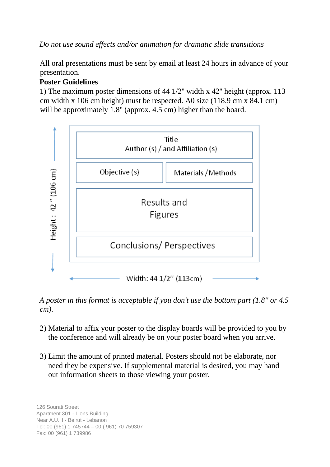*Do not use sound effects and/or animation for dramatic slide transitions*

All oral presentations must be sent by email at least 24 hours in advance of your presentation.

#### **Poster Guidelines**

1) The maximum poster dimensions of 44 1/2'' width x 42'' height (approx. 113 cm width x 106 cm height) must be respected. A0 size (118.9 cm x 84.1 cm) will be approximately 1.8" (approx. 4.5 cm) higher than the board.



*A poster in this format is acceptable if you don't use the bottom part (1.8'' or 4.5 cm).*

- 2) Material to affix your poster to the display boards will be provided to you by the conference and will already be on your poster board when you arrive.
- 3) Limit the amount of printed material. Posters should not be elaborate, nor need they be expensive. If supplemental material is desired, you may hand out information sheets to those viewing your poster.